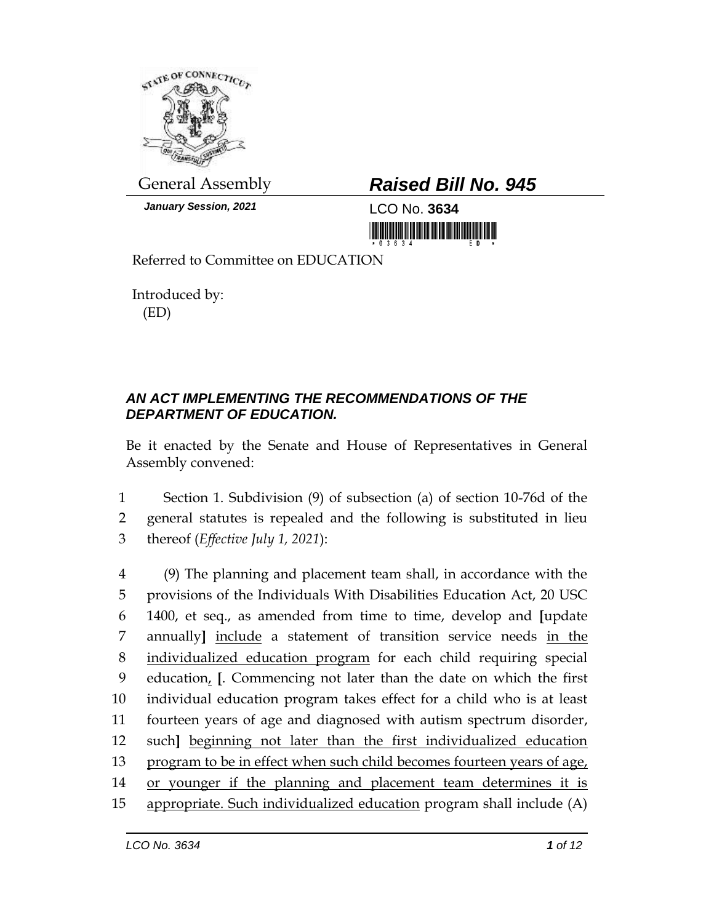

*January Session, 2021* LCO No. **3634**

## General Assembly *Raised Bill No. 945*

<u> III MARIJI MATIJI MATIJI MATIJI MATIJI MATIJI MATIJI MATIJI MATIJI MATIJI MATIJI MATIJI MATIJI MATIJI MATIJI </u>

Referred to Committee on EDUCATION

Introduced by: (ED)

## *AN ACT IMPLEMENTING THE RECOMMENDATIONS OF THE DEPARTMENT OF EDUCATION.*

Be it enacted by the Senate and House of Representatives in General Assembly convened:

1 Section 1. Subdivision (9) of subsection (a) of section 10-76d of the 2 general statutes is repealed and the following is substituted in lieu 3 thereof (*Effective July 1, 2021*):

 (9) The planning and placement team shall, in accordance with the provisions of the Individuals With Disabilities Education Act, 20 USC 1400, et seq., as amended from time to time, develop and **[**update annually**]** include a statement of transition service needs in the individualized education program for each child requiring special education, **[**. Commencing not later than the date on which the first individual education program takes effect for a child who is at least fourteen years of age and diagnosed with autism spectrum disorder, such**]** beginning not later than the first individualized education 13 program to be in effect when such child becomes fourteen years of age, or younger if the planning and placement team determines it is appropriate. Such individualized education program shall include (A)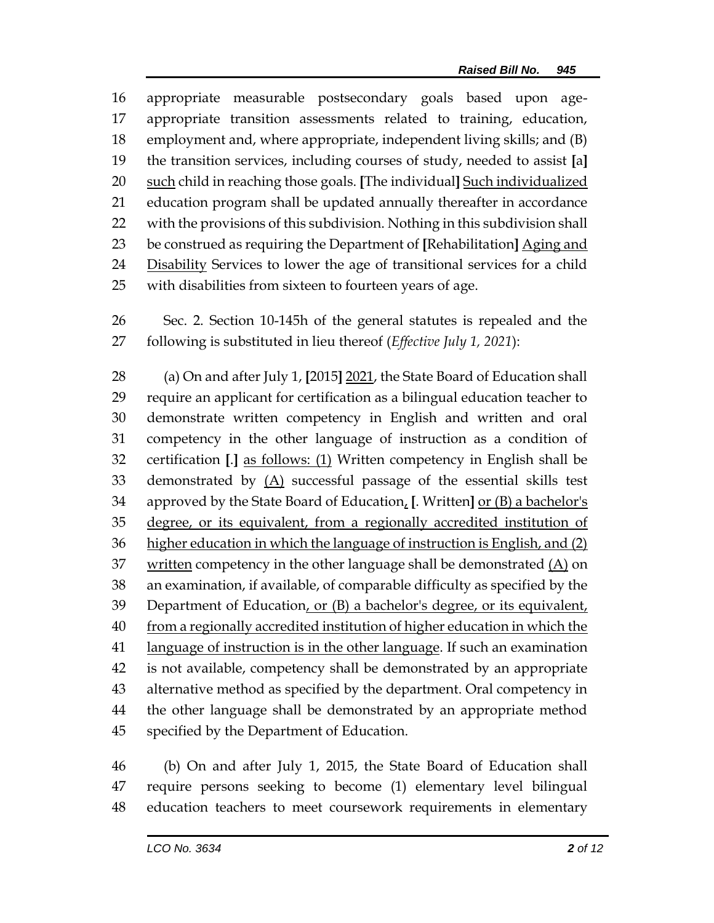appropriate measurable postsecondary goals based upon age- appropriate transition assessments related to training, education, employment and, where appropriate, independent living skills; and (B) the transition services, including courses of study, needed to assist **[**a**]** such child in reaching those goals. **[**The individual**]** Such individualized education program shall be updated annually thereafter in accordance with the provisions of this subdivision. Nothing in this subdivision shall be construed as requiring the Department of **[**Rehabilitation**]** Aging and 24 Disability Services to lower the age of transitional services for a child with disabilities from sixteen to fourteen years of age.

 Sec. 2. Section 10-145h of the general statutes is repealed and the following is substituted in lieu thereof (*Effective July 1, 2021*):

 (a) On and after July 1, **[**2015**]** 2021, the State Board of Education shall require an applicant for certification as a bilingual education teacher to demonstrate written competency in English and written and oral competency in the other language of instruction as a condition of certification **[**.**]** as follows: (1) Written competency in English shall be demonstrated by (A) successful passage of the essential skills test approved by the State Board of Education, **[**. Written**]** or (B) a bachelor's 35 degree, or its equivalent, from a regionally accredited institution of 36 higher education in which the language of instruction is English, and (2) 37 written competency in the other language shall be demonstrated  $(A)$  on an examination, if available, of comparable difficulty as specified by the Department of Education, or (B) a bachelor's degree, or its equivalent, 40 from a regionally accredited institution of higher education in which the language of instruction is in the other language. If such an examination is not available, competency shall be demonstrated by an appropriate alternative method as specified by the department. Oral competency in the other language shall be demonstrated by an appropriate method specified by the Department of Education.

 (b) On and after July 1, 2015, the State Board of Education shall require persons seeking to become (1) elementary level bilingual education teachers to meet coursework requirements in elementary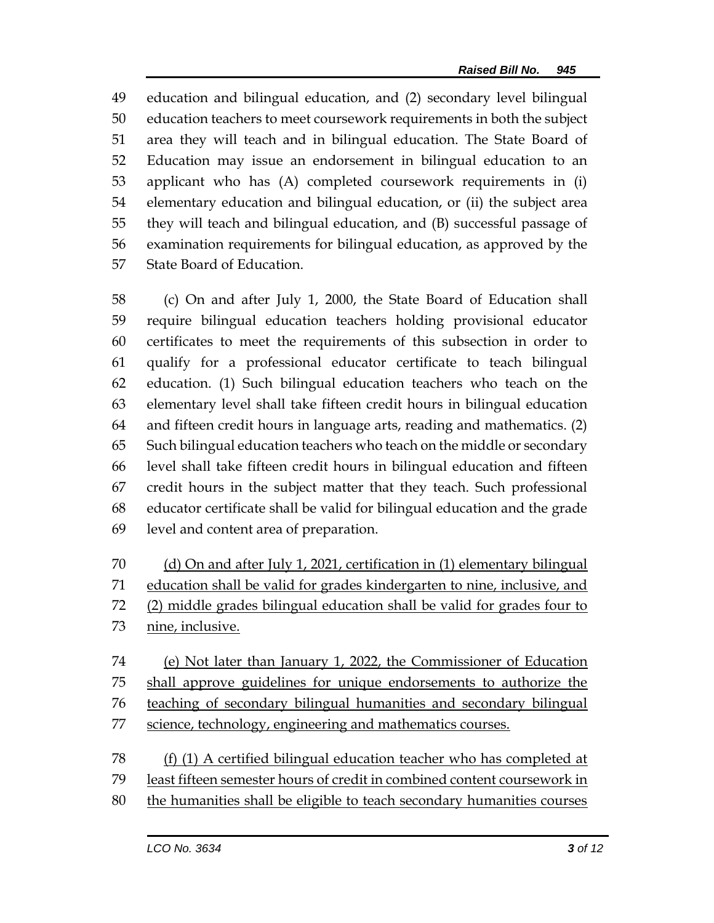education and bilingual education, and (2) secondary level bilingual education teachers to meet coursework requirements in both the subject area they will teach and in bilingual education. The State Board of Education may issue an endorsement in bilingual education to an applicant who has (A) completed coursework requirements in (i) elementary education and bilingual education, or (ii) the subject area they will teach and bilingual education, and (B) successful passage of examination requirements for bilingual education, as approved by the State Board of Education.

 (c) On and after July 1, 2000, the State Board of Education shall require bilingual education teachers holding provisional educator certificates to meet the requirements of this subsection in order to qualify for a professional educator certificate to teach bilingual education. (1) Such bilingual education teachers who teach on the elementary level shall take fifteen credit hours in bilingual education and fifteen credit hours in language arts, reading and mathematics. (2) Such bilingual education teachers who teach on the middle or secondary level shall take fifteen credit hours in bilingual education and fifteen credit hours in the subject matter that they teach. Such professional educator certificate shall be valid for bilingual education and the grade level and content area of preparation.

 (d) On and after July 1, 2021, certification in (1) elementary bilingual education shall be valid for grades kindergarten to nine, inclusive, and (2) middle grades bilingual education shall be valid for grades four to nine, inclusive.

 (e) Not later than January 1, 2022, the Commissioner of Education shall approve guidelines for unique endorsements to authorize the teaching of secondary bilingual humanities and secondary bilingual 77 science, technology, engineering and mathematics courses.

 (f) (1) A certified bilingual education teacher who has completed at least fifteen semester hours of credit in combined content coursework in the humanities shall be eligible to teach secondary humanities courses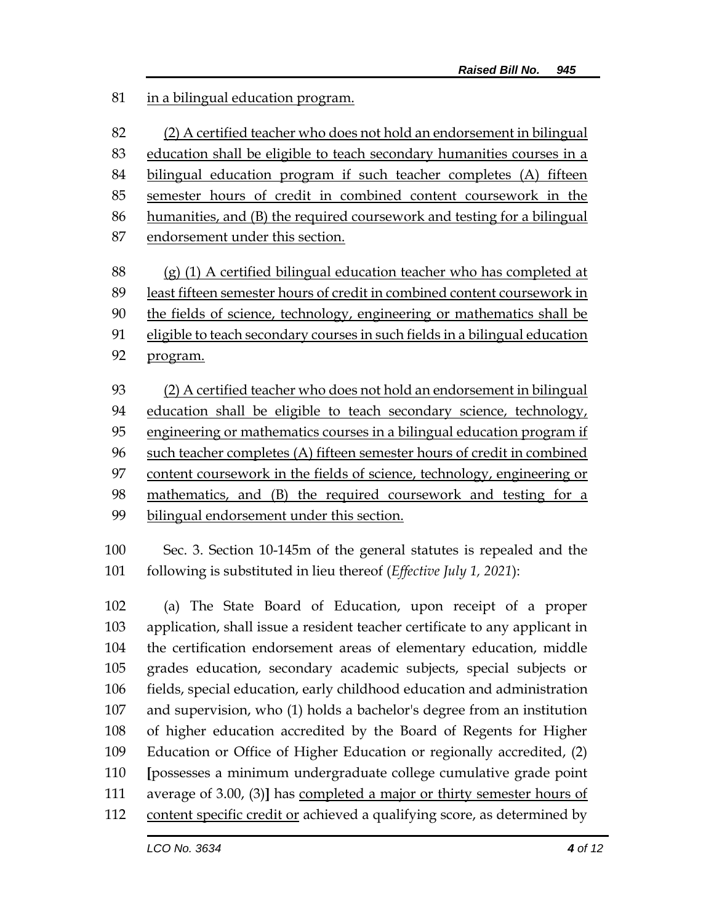in a bilingual education program.

 (2) A certified teacher who does not hold an endorsement in bilingual education shall be eligible to teach secondary humanities courses in a bilingual education program if such teacher completes (A) fifteen semester hours of credit in combined content coursework in the humanities, and (B) the required coursework and testing for a bilingual endorsement under this section.

 (g) (1) A certified bilingual education teacher who has completed at least fifteen semester hours of credit in combined content coursework in the fields of science, technology, engineering or mathematics shall be eligible to teach secondary courses in such fields in a bilingual education program.

 (2) A certified teacher who does not hold an endorsement in bilingual education shall be eligible to teach secondary science, technology, 95 engineering or mathematics courses in a bilingual education program if such teacher completes (A) fifteen semester hours of credit in combined content coursework in the fields of science, technology, engineering or mathematics, and (B) the required coursework and testing for a bilingual endorsement under this section.

 Sec. 3. Section 10-145m of the general statutes is repealed and the following is substituted in lieu thereof (*Effective July 1, 2021*):

 (a) The State Board of Education, upon receipt of a proper application, shall issue a resident teacher certificate to any applicant in the certification endorsement areas of elementary education, middle grades education, secondary academic subjects, special subjects or fields, special education, early childhood education and administration and supervision, who (1) holds a bachelor's degree from an institution of higher education accredited by the Board of Regents for Higher Education or Office of Higher Education or regionally accredited, (2) **[**possesses a minimum undergraduate college cumulative grade point average of 3.00, (3)**]** has completed a major or thirty semester hours of content specific credit or achieved a qualifying score, as determined by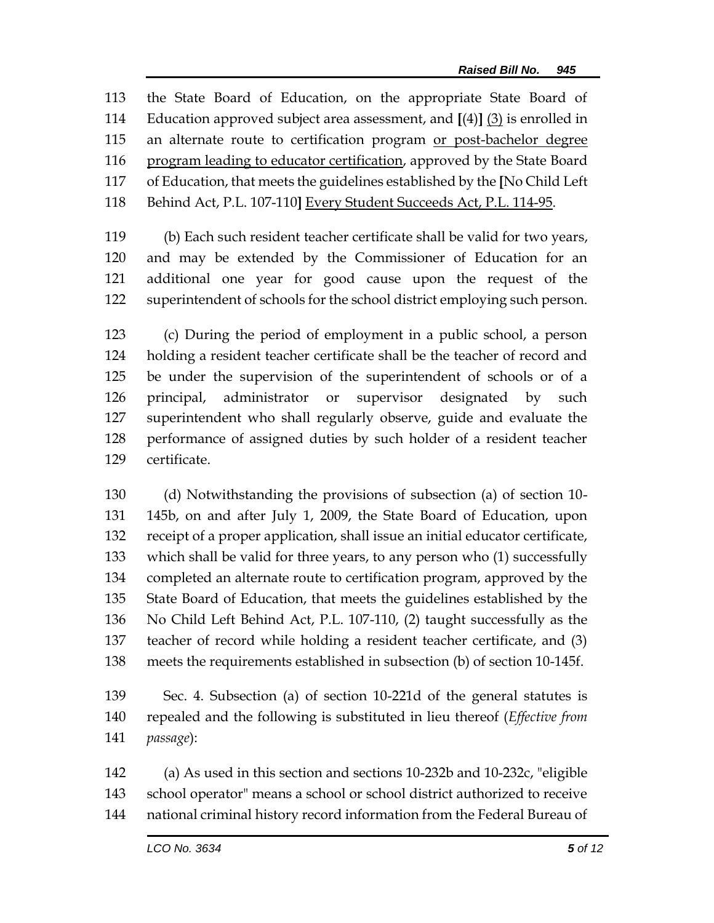the State Board of Education, on the appropriate State Board of Education approved subject area assessment, and **[**(4)**]** (3) is enrolled in 115 an alternate route to certification program or post-bachelor degree program leading to educator certification, approved by the State Board of Education, that meets the guidelines established by the **[**No Child Left Behind Act, P.L. 107-110**]** Every Student Succeeds Act, P.L. 114-95.

 (b) Each such resident teacher certificate shall be valid for two years, and may be extended by the Commissioner of Education for an additional one year for good cause upon the request of the superintendent of schools for the school district employing such person.

 (c) During the period of employment in a public school, a person holding a resident teacher certificate shall be the teacher of record and be under the supervision of the superintendent of schools or of a principal, administrator or supervisor designated by such superintendent who shall regularly observe, guide and evaluate the performance of assigned duties by such holder of a resident teacher certificate.

 (d) Notwithstanding the provisions of subsection (a) of section 10- 145b, on and after July 1, 2009, the State Board of Education, upon receipt of a proper application, shall issue an initial educator certificate, which shall be valid for three years, to any person who (1) successfully completed an alternate route to certification program, approved by the State Board of Education, that meets the guidelines established by the No Child Left Behind Act, P.L. 107-110, (2) taught successfully as the teacher of record while holding a resident teacher certificate, and (3) meets the requirements established in subsection (b) of section 10-145f.

 Sec. 4. Subsection (a) of section 10-221d of the general statutes is repealed and the following is substituted in lieu thereof (*Effective from passage*):

 (a) As used in this section and sections 10-232b and 10-232c, "eligible school operator" means a school or school district authorized to receive national criminal history record information from the Federal Bureau of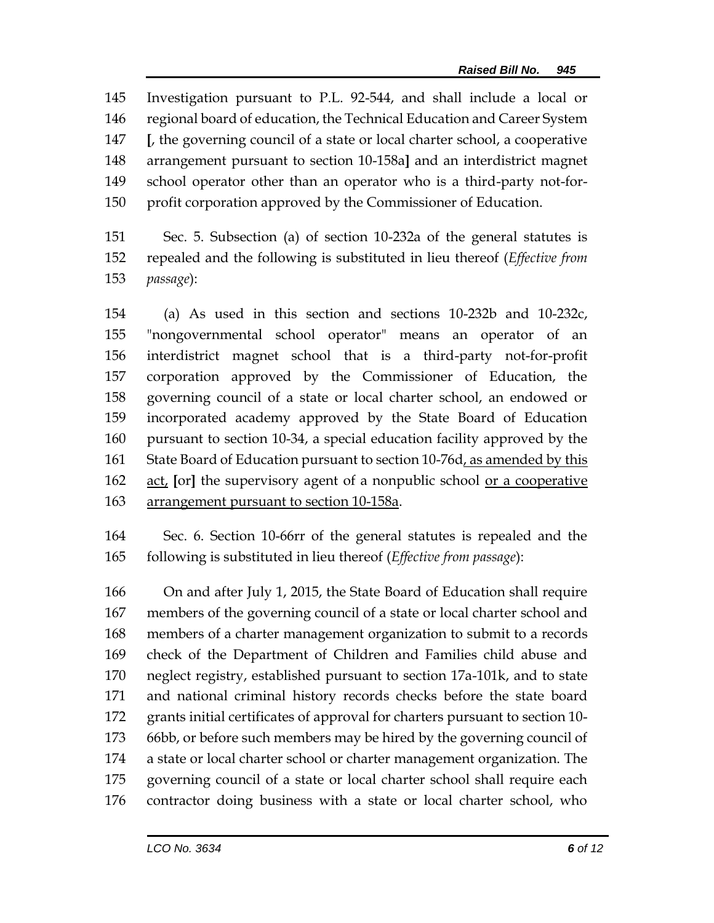Investigation pursuant to P.L. 92-544, and shall include a local or regional board of education, the Technical Education and Career System **[**, the governing council of a state or local charter school, a cooperative arrangement pursuant to section 10-158a**]** and an interdistrict magnet school operator other than an operator who is a third-party not-for-profit corporation approved by the Commissioner of Education.

 Sec. 5. Subsection (a) of section 10-232a of the general statutes is repealed and the following is substituted in lieu thereof (*Effective from passage*):

 (a) As used in this section and sections 10-232b and 10-232c, "nongovernmental school operator" means an operator of an interdistrict magnet school that is a third-party not-for-profit corporation approved by the Commissioner of Education, the governing council of a state or local charter school, an endowed or incorporated academy approved by the State Board of Education pursuant to section 10-34, a special education facility approved by the 161 State Board of Education pursuant to section 10-76d, as amended by this act, **[**or**]** the supervisory agent of a nonpublic school or a cooperative arrangement pursuant to section 10-158a.

 Sec. 6. Section 10-66rr of the general statutes is repealed and the following is substituted in lieu thereof (*Effective from passage*):

 On and after July 1, 2015, the State Board of Education shall require members of the governing council of a state or local charter school and members of a charter management organization to submit to a records check of the Department of Children and Families child abuse and neglect registry, established pursuant to section 17a-101k, and to state and national criminal history records checks before the state board grants initial certificates of approval for charters pursuant to section 10- 66bb, or before such members may be hired by the governing council of a state or local charter school or charter management organization. The governing council of a state or local charter school shall require each contractor doing business with a state or local charter school, who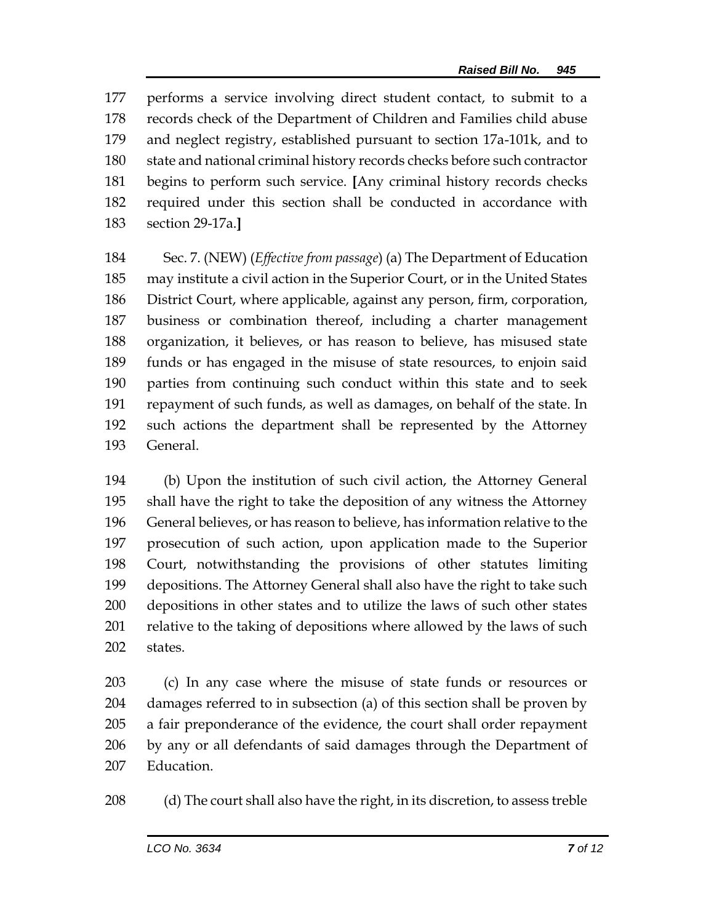performs a service involving direct student contact, to submit to a records check of the Department of Children and Families child abuse and neglect registry, established pursuant to section 17a-101k, and to state and national criminal history records checks before such contractor begins to perform such service. **[**Any criminal history records checks required under this section shall be conducted in accordance with section 29-17a.**]**

 Sec. 7. (NEW) (*Effective from passage*) (a) The Department of Education may institute a civil action in the Superior Court, or in the United States District Court, where applicable, against any person, firm, corporation, business or combination thereof, including a charter management organization, it believes, or has reason to believe, has misused state funds or has engaged in the misuse of state resources, to enjoin said parties from continuing such conduct within this state and to seek repayment of such funds, as well as damages, on behalf of the state. In such actions the department shall be represented by the Attorney General.

 (b) Upon the institution of such civil action, the Attorney General shall have the right to take the deposition of any witness the Attorney General believes, or has reason to believe, has information relative to the prosecution of such action, upon application made to the Superior Court, notwithstanding the provisions of other statutes limiting depositions. The Attorney General shall also have the right to take such depositions in other states and to utilize the laws of such other states 201 relative to the taking of depositions where allowed by the laws of such states.

 (c) In any case where the misuse of state funds or resources or damages referred to in subsection (a) of this section shall be proven by a fair preponderance of the evidence, the court shall order repayment by any or all defendants of said damages through the Department of Education.

(d) The court shall also have the right, in its discretion, to assess treble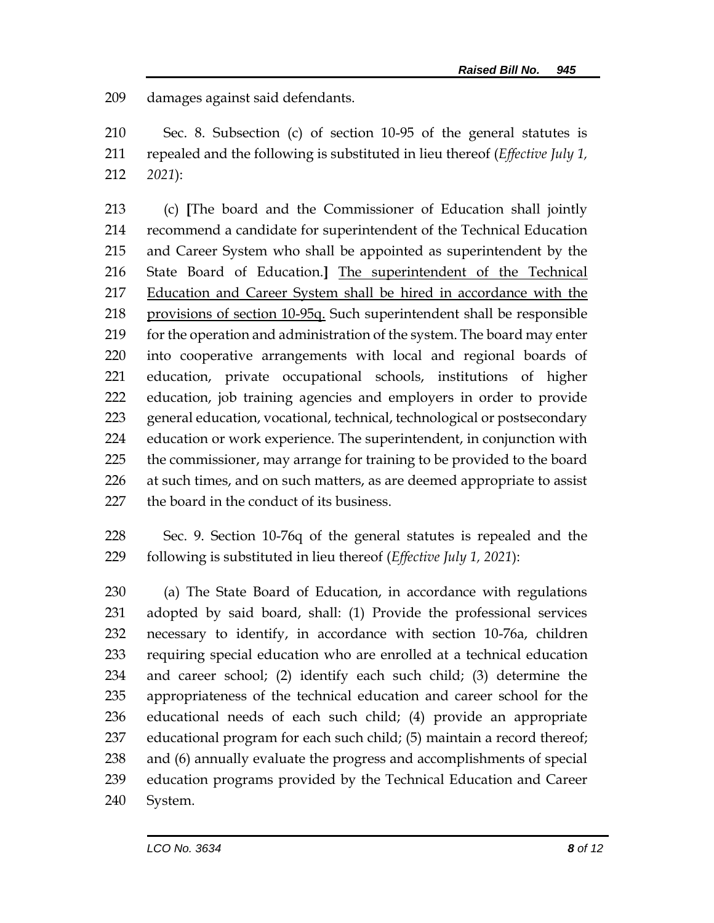damages against said defendants.

 Sec. 8. Subsection (c) of section 10-95 of the general statutes is repealed and the following is substituted in lieu thereof (*Effective July 1, 2021*):

 (c) **[**The board and the Commissioner of Education shall jointly recommend a candidate for superintendent of the Technical Education and Career System who shall be appointed as superintendent by the State Board of Education.**]** The superintendent of the Technical 217 Education and Career System shall be hired in accordance with the provisions of section 10-95q. Such superintendent shall be responsible 219 for the operation and administration of the system. The board may enter into cooperative arrangements with local and regional boards of education, private occupational schools, institutions of higher education, job training agencies and employers in order to provide general education, vocational, technical, technological or postsecondary education or work experience. The superintendent, in conjunction with the commissioner, may arrange for training to be provided to the board 226 at such times, and on such matters, as are deemed appropriate to assist 227 the board in the conduct of its business.

 Sec. 9. Section 10-76q of the general statutes is repealed and the following is substituted in lieu thereof (*Effective July 1, 2021*):

 (a) The State Board of Education, in accordance with regulations adopted by said board, shall: (1) Provide the professional services necessary to identify, in accordance with section 10-76a, children requiring special education who are enrolled at a technical education and career school; (2) identify each such child; (3) determine the appropriateness of the technical education and career school for the educational needs of each such child; (4) provide an appropriate educational program for each such child; (5) maintain a record thereof; and (6) annually evaluate the progress and accomplishments of special education programs provided by the Technical Education and Career System.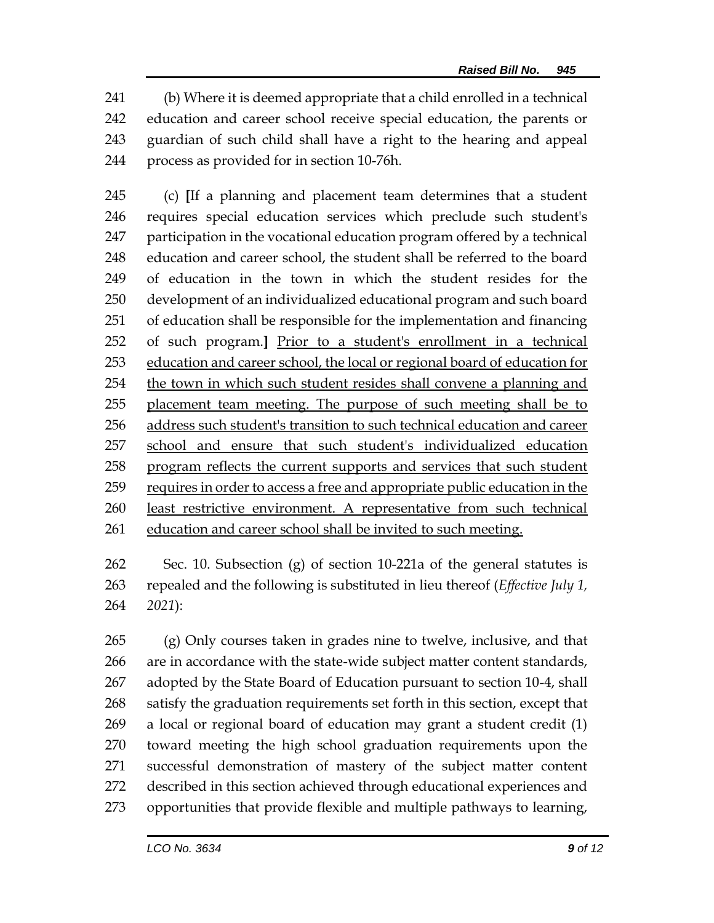(b) Where it is deemed appropriate that a child enrolled in a technical education and career school receive special education, the parents or guardian of such child shall have a right to the hearing and appeal process as provided for in section 10-76h.

 (c) **[**If a planning and placement team determines that a student requires special education services which preclude such student's participation in the vocational education program offered by a technical education and career school, the student shall be referred to the board of education in the town in which the student resides for the development of an individualized educational program and such board of education shall be responsible for the implementation and financing of such program.**]** Prior to a student's enrollment in a technical education and career school, the local or regional board of education for the town in which such student resides shall convene a planning and placement team meeting. The purpose of such meeting shall be to address such student's transition to such technical education and career school and ensure that such student's individualized education 258 program reflects the current supports and services that such student requires in order to access a free and appropriate public education in the least restrictive environment. A representative from such technical 261 education and career school shall be invited to such meeting.

 Sec. 10. Subsection (g) of section 10-221a of the general statutes is repealed and the following is substituted in lieu thereof (*Effective July 1, 2021*):

 (g) Only courses taken in grades nine to twelve, inclusive, and that are in accordance with the state-wide subject matter content standards, adopted by the State Board of Education pursuant to section 10-4, shall satisfy the graduation requirements set forth in this section, except that a local or regional board of education may grant a student credit (1) toward meeting the high school graduation requirements upon the successful demonstration of mastery of the subject matter content described in this section achieved through educational experiences and opportunities that provide flexible and multiple pathways to learning,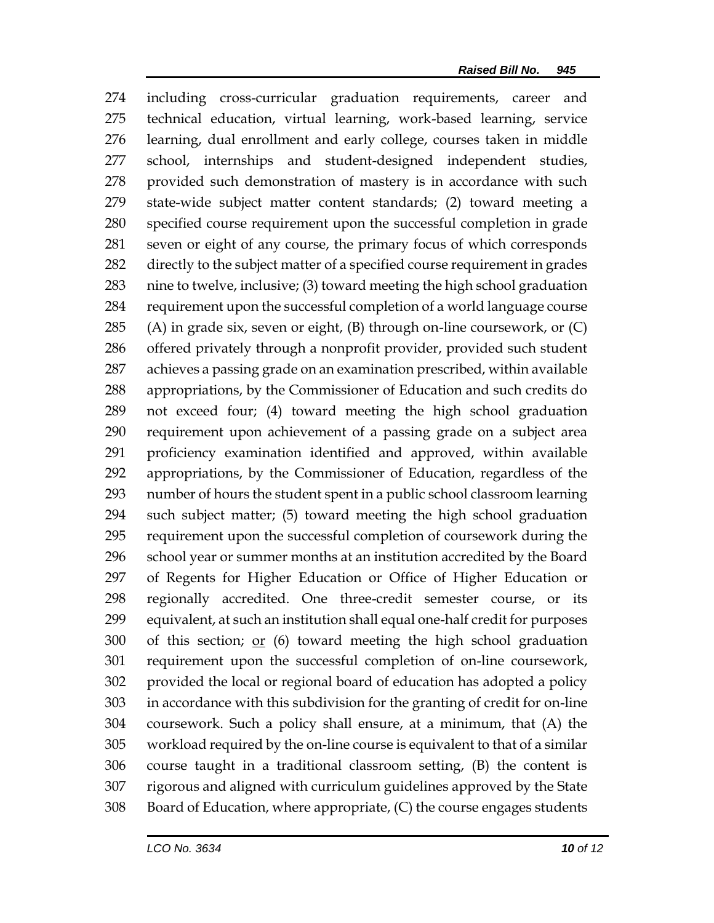including cross-curricular graduation requirements, career and technical education, virtual learning, work-based learning, service learning, dual enrollment and early college, courses taken in middle school, internships and student-designed independent studies, provided such demonstration of mastery is in accordance with such state-wide subject matter content standards; (2) toward meeting a specified course requirement upon the successful completion in grade seven or eight of any course, the primary focus of which corresponds directly to the subject matter of a specified course requirement in grades nine to twelve, inclusive; (3) toward meeting the high school graduation requirement upon the successful completion of a world language course (A) in grade six, seven or eight, (B) through on-line coursework, or (C) offered privately through a nonprofit provider, provided such student achieves a passing grade on an examination prescribed, within available appropriations, by the Commissioner of Education and such credits do not exceed four; (4) toward meeting the high school graduation requirement upon achievement of a passing grade on a subject area proficiency examination identified and approved, within available appropriations, by the Commissioner of Education, regardless of the number of hours the student spent in a public school classroom learning such subject matter; (5) toward meeting the high school graduation requirement upon the successful completion of coursework during the school year or summer months at an institution accredited by the Board of Regents for Higher Education or Office of Higher Education or regionally accredited. One three-credit semester course, or its equivalent, at such an institution shall equal one-half credit for purposes of this section; or (6) toward meeting the high school graduation requirement upon the successful completion of on-line coursework, provided the local or regional board of education has adopted a policy in accordance with this subdivision for the granting of credit for on-line coursework. Such a policy shall ensure, at a minimum, that (A) the workload required by the on-line course is equivalent to that of a similar course taught in a traditional classroom setting, (B) the content is rigorous and aligned with curriculum guidelines approved by the State Board of Education, where appropriate, (C) the course engages students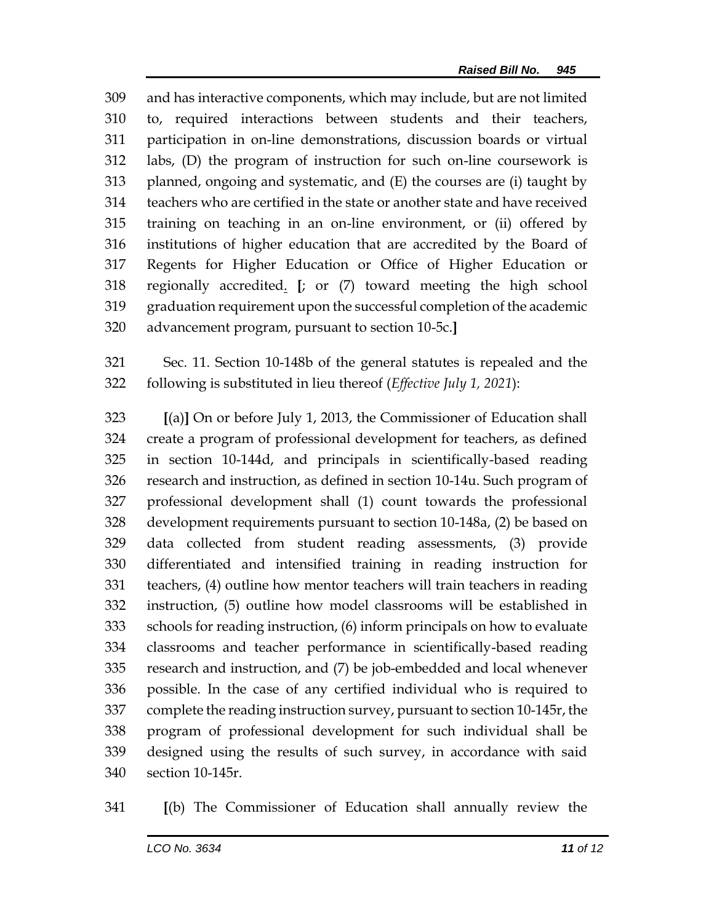and has interactive components, which may include, but are not limited to, required interactions between students and their teachers, participation in on-line demonstrations, discussion boards or virtual labs, (D) the program of instruction for such on-line coursework is planned, ongoing and systematic, and (E) the courses are (i) taught by teachers who are certified in the state or another state and have received training on teaching in an on-line environment, or (ii) offered by institutions of higher education that are accredited by the Board of Regents for Higher Education or Office of Higher Education or regionally accredited. **[**; or (7) toward meeting the high school graduation requirement upon the successful completion of the academic advancement program, pursuant to section 10-5c.**]**

 Sec. 11. Section 10-148b of the general statutes is repealed and the following is substituted in lieu thereof (*Effective July 1, 2021*):

 **[**(a)**]** On or before July 1, 2013, the Commissioner of Education shall create a program of professional development for teachers, as defined in section 10-144d, and principals in scientifically-based reading research and instruction, as defined in section 10-14u. Such program of professional development shall (1) count towards the professional development requirements pursuant to section 10-148a, (2) be based on data collected from student reading assessments, (3) provide differentiated and intensified training in reading instruction for teachers, (4) outline how mentor teachers will train teachers in reading instruction, (5) outline how model classrooms will be established in schools for reading instruction, (6) inform principals on how to evaluate classrooms and teacher performance in scientifically-based reading research and instruction, and (7) be job-embedded and local whenever possible. In the case of any certified individual who is required to complete the reading instruction survey, pursuant to section 10-145r, the program of professional development for such individual shall be designed using the results of such survey, in accordance with said section 10-145r.

**[**(b) The Commissioner of Education shall annually review the